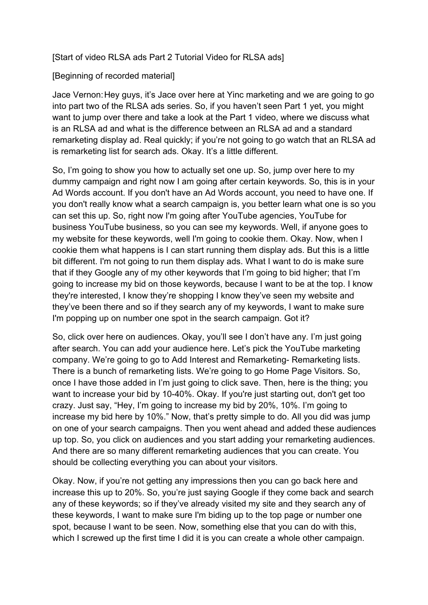[Start of video RLSA ads Part 2 Tutorial Video for RLSA ads]

[Beginning of recorded material]

Jace Vernon:Hey guys, it's Jace over here at Yinc marketing and we are going to go into part two of the RLSA ads series. So, if you haven't seen Part 1 yet, you might want to jump over there and take a look at the Part 1 video, where we discuss what is an RLSA ad and what is the difference between an RLSA ad and a standard remarketing display ad. Real quickly; if you're not going to go watch that an RLSA ad is remarketing list for search ads. Okay. It's a little different.

So, I'm going to show you how to actually set one up. So, jump over here to my dummy campaign and right now I am going after certain keywords. So, this is in your Ad Words account. If you don't have an Ad Words account, you need to have one. If you don't really know what a search campaign is, you better learn what one is so you can set this up. So, right now I'm going after YouTube agencies, YouTube for business YouTube business, so you can see my keywords. Well, if anyone goes to my website for these keywords, well I'm going to cookie them. Okay. Now, when I cookie them what happens is I can start running them display ads. But this is a little bit different. I'm not going to run them display ads. What I want to do is make sure that if they Google any of my other keywords that I'm going to bid higher; that I'm going to increase my bid on those keywords, because I want to be at the top. I know they're interested, I know they're shopping I know they've seen my website and they've been there and so if they search any of my keywords, I want to make sure I'm popping up on number one spot in the search campaign. Got it?

So, click over here on audiences. Okay, you'll see I don't have any. I'm just going after search. You can add your audience here. Let's pick the YouTube marketing company. We're going to go to Add Interest and Remarketing- Remarketing lists. There is a bunch of remarketing lists. We're going to go Home Page Visitors. So, once I have those added in I'm just going to click save. Then, here is the thing; you want to increase your bid by 10-40%. Okay. If you're just starting out, don't get too crazy. Just say, "Hey, I'm going to increase my bid by 20%, 10%. I'm going to increase my bid here by 10%." Now, that's pretty simple to do. All you did was jump on one of your search campaigns. Then you went ahead and added these audiences up top. So, you click on audiences and you start adding your remarketing audiences. And there are so many different remarketing audiences that you can create. You should be collecting everything you can about your visitors.

Okay. Now, if you're not getting any impressions then you can go back here and increase this up to 20%. So, you're just saying Google if they come back and search any of these keywords; so if they've already visited my site and they search any of these keywords, I want to make sure I'm biding up to the top page or number one spot, because I want to be seen. Now, something else that you can do with this, which I screwed up the first time I did it is you can create a whole other campaign.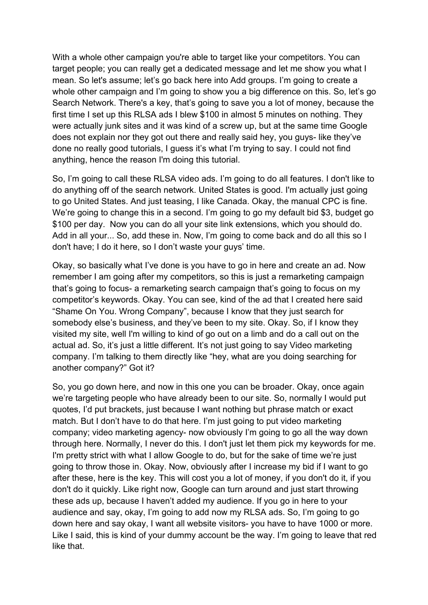With a whole other campaign you're able to target like your competitors. You can target people; you can really get a dedicated message and let me show you what I mean. So let's assume; let's go back here into Add groups. I'm going to create a whole other campaign and I'm going to show you a big difference on this. So, let's go Search Network. There's a key, that's going to save you a lot of money, because the first time I set up this RLSA ads I blew \$100 in almost 5 minutes on nothing. They were actually junk sites and it was kind of a screw up, but at the same time Google does not explain nor they got out there and really said hey, you guys- like they've done no really good tutorials, I guess it's what I'm trying to say. I could not find anything, hence the reason I'm doing this tutorial.

So, I'm going to call these RLSA video ads. I'm going to do all features. I don't like to do anything off of the search network. United States is good. I'm actually just going to go United States. And just teasing, I like Canada. Okay, the manual CPC is fine. We're going to change this in a second. I'm going to go my default bid \$3, budget go \$100 per day. Now you can do all your site link extensions, which you should do. Add in all your... So, add these in. Now, I'm going to come back and do all this so I don't have; I do it here, so I don't waste your guys' time.

Okay, so basically what I've done is you have to go in here and create an ad. Now remember I am going after my competitors, so this is just a remarketing campaign that's going to focus- a remarketing search campaign that's going to focus on my competitor's keywords. Okay. You can see, kind of the ad that I created here said "Shame On You. Wrong Company", because I know that they just search for somebody else's business, and they've been to my site. Okay. So, if I know they visited my site, well I'm willing to kind of go out on a limb and do a call out on the actual ad. So, it's just a little different. It's not just going to say Video marketing company. I'm talking to them directly like "hey, what are you doing searching for another company?" Got it?

So, you go down here, and now in this one you can be broader. Okay, once again we're targeting people who have already been to our site. So, normally I would put quotes, I'd put brackets, just because I want nothing but phrase match or exact match. But I don't have to do that here. I'm just going to put video marketing company; video marketing agency- now obviously I'm going to go all the way down through here. Normally, I never do this. I don't just let them pick my keywords for me. I'm pretty strict with what I allow Google to do, but for the sake of time we're just going to throw those in. Okay. Now, obviously after I increase my bid if I want to go after these, here is the key. This will cost you a lot of money, if you don't do it, if you don't do it quickly. Like right now, Google can turn around and just start throwing these ads up, because I haven't added my audience. If you go in here to your audience and say, okay, I'm going to add now my RLSA ads. So, I'm going to go down here and say okay, I want all website visitors- you have to have 1000 or more. Like I said, this is kind of your dummy account be the way. I'm going to leave that red like that.